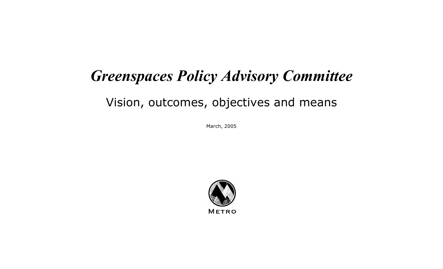## *Greenspaces Policy Advisory Committee*

## Vision, outcomes, objectives and means

March, 2005

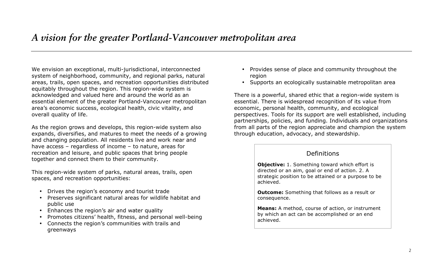## *A vision for the greater Portland-Vancouver metropolitan area*

We envision an exceptional, multi-jurisdictional, interconnected system of neighborhood, community, and regional parks, natural areas, trails, open spaces, and recreation opportunities distributed equitably throughout the region. This region-wide system is acknowledged and valued here and around the world as an essential element of the greater Portland-Vancouver metropolitan area's economic success, ecological health, civic vitality, and overall quality of life.

As the region grows and develops, this region-wide system also expands, diversifies, and matures to meet the needs of a growing and changing population. All residents live and work near and have access – regardless of income – to nature, areas for recreation and leisure, and public spaces that bring people together and connect them to their community.

This region-wide system of parks, natural areas, trails, open spaces, and recreation opportunities:

- Drives the region's economy and tourist trade
- Preserves significant natural areas for wildlife habitat and public use
- Enhances the region's air and water quality
- Promotes citizens' health, fitness, and personal well-being
- Connects the region's communities with trails and greenways
- Provides sense of place and community throughout the region
- Supports an ecologically sustainable metropolitan area

There is a powerful, shared ethic that a region-wide system is essential. There is widespread recognition of its value from economic, personal health, community, and ecological perspectives. Tools for its support are well established, including partnerships, policies, and funding. Individuals and organizations from all parts of the region appreciate and champion the system through education, advocacy, and stewardship.

## Definitions

**Objective:** 1. Something toward which effort is directed or an aim, goal or end of action. 2. A strategic position to be attained or a purpose to be achieved.

**Outcome:** Something that follows as a result or consequence.

**Means:** A method, course of action, or instrument by which an act can be accomplished or an end achieved.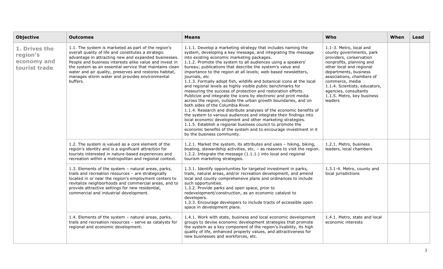| <b>Objective</b>                                          | <b>Outcomes</b>                                                                                                                                                                                                                                                                                                                                                                                                  | <b>Means</b>                                                                                                                                                                                                                                                                                                                                                                                                                                                                                                                                                                                                                                                                                                                                                                                                                                                                                                                                                                                                                                                                                                                                              | Who                                                                                                                                                                                                                                                                                                                | When | Lead |
|-----------------------------------------------------------|------------------------------------------------------------------------------------------------------------------------------------------------------------------------------------------------------------------------------------------------------------------------------------------------------------------------------------------------------------------------------------------------------------------|-----------------------------------------------------------------------------------------------------------------------------------------------------------------------------------------------------------------------------------------------------------------------------------------------------------------------------------------------------------------------------------------------------------------------------------------------------------------------------------------------------------------------------------------------------------------------------------------------------------------------------------------------------------------------------------------------------------------------------------------------------------------------------------------------------------------------------------------------------------------------------------------------------------------------------------------------------------------------------------------------------------------------------------------------------------------------------------------------------------------------------------------------------------|--------------------------------------------------------------------------------------------------------------------------------------------------------------------------------------------------------------------------------------------------------------------------------------------------------------------|------|------|
| 1. Drives the<br>region's<br>economy and<br>tourist trade | 1.1. The system is marketed as part of the region's<br>overall quality of life and constitutes a strategic<br>advantage in attracting new and expanded businesses.<br>People and business interests alike value and invest in<br>the system as an essential service that maintains clean<br>water and air quality, preserves and restores habitat,<br>manages storm water and provides environmental<br>buffers. | 1.1.1. Develop a marketing strategy that includes naming the<br>system, developing a key message, and integrating the message<br>into existing economic marketing packages.<br>1.1.2. Promote the system to all audiences using a speakers'<br>bureau; publications that describe the system's value and<br>importance to the region at all levels; web-based newsletters,<br>journals, etc<br>1.1.3. Formally adopt fish, wildlife and botanical icons at the local<br>and regional levels as highly visible public benchmarks for<br>measuring the success of protection and restoration efforts.<br>Publicize and integrate the icons by electronic and print media<br>across the region, outside the urban growth boundaries, and on<br>both sides of the Columbia River.<br>1.1.4. Research and distribute analyses of the economic benefits of<br>the system to various audiences and integrate their findings into<br>local economic development and other marketing strategies.<br>1.1.5. Establish a regional business council to promote the<br>economic benefits of the system and to encourage investment in it<br>by the business community. | 1.1-3. Metro, local and<br>county governments, park<br>providers, conservation<br>nonprofits, planning and<br>other local and regional<br>departments, business<br>associations, chambers of<br>commerce, media<br>1.1.4. Scientists, educators,<br>agencies, consultants<br>1.1.5. Metro, key business<br>leaders |      |      |
|                                                           | 1.2. The system is valued as a core element of the<br>region's identity and is a significant attraction for<br>tourists interested in nature-based experiences and<br>recreation within a metropolitan and regional context.                                                                                                                                                                                     | 1.2.1. Market the system, its attributes and uses - hiking, biking,<br>boating, stewardship activities, etc. - as reasons to visit the region.<br>1.2.2. Integrate the message (1.1.1.) into local and regional<br>tourism marketing strategies.                                                                                                                                                                                                                                                                                                                                                                                                                                                                                                                                                                                                                                                                                                                                                                                                                                                                                                          | 1.2.1. Metro, business<br>leaders, local chambers                                                                                                                                                                                                                                                                  |      |      |
|                                                           | 1.3. Elements of the system - natural areas, parks,<br>trails and recreation resources - are strategically<br>located in or near the region's employment centers to<br>revitalize neighborhoods and commercial areas, and to<br>provide attractive settings for new residential,<br>commercial and industrial development.                                                                                       | 1.3.1. Identify opportunities for targeted investment in parks,<br>trails, natural areas, and/or recreation development, and amend<br>local and county comprehensive plans and ordinances to include<br>such opportunities.<br>1.3.2. Provide parks and open space, prior to<br>redevelopment/construction, as an economic catalyst to<br>developers.<br>1.3.3. Encourage developers to include tracts of accessible open<br>space in development plans.                                                                                                                                                                                                                                                                                                                                                                                                                                                                                                                                                                                                                                                                                                  | 1.3.1-4. Metro, county and<br>local jurisdictions                                                                                                                                                                                                                                                                  |      |      |
|                                                           | 1.4. Elements of the system - natural areas, parks,<br>trails and recreation resources - serve as catalysts for<br>regional and economic development.                                                                                                                                                                                                                                                            | 1.4.1. Work with state, business and local economic development<br>groups to devise economic development strategies that promote<br>the system as a key component of the region's livability, its high<br>quality of life, enhanced property values, and attractiveness for<br>new businesses and workforces, etc.                                                                                                                                                                                                                                                                                                                                                                                                                                                                                                                                                                                                                                                                                                                                                                                                                                        | 1.4.1. Metro, state and local<br>economic interests                                                                                                                                                                                                                                                                |      |      |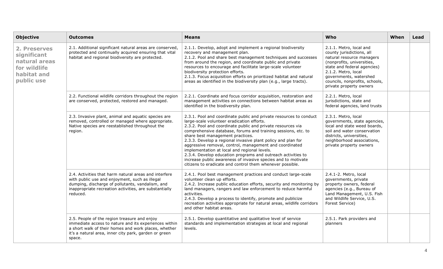| <b>Objective</b>                                                                          | <b>Outcomes</b>                                                                                                                                                                                                                   | <b>Means</b>                                                                                                                                                                                                                                                                                                                                                                                                                                                                                                                                                                                                                                                  | Who                                                                                                                                                                                                                                                          | When | Lead |
|-------------------------------------------------------------------------------------------|-----------------------------------------------------------------------------------------------------------------------------------------------------------------------------------------------------------------------------------|---------------------------------------------------------------------------------------------------------------------------------------------------------------------------------------------------------------------------------------------------------------------------------------------------------------------------------------------------------------------------------------------------------------------------------------------------------------------------------------------------------------------------------------------------------------------------------------------------------------------------------------------------------------|--------------------------------------------------------------------------------------------------------------------------------------------------------------------------------------------------------------------------------------------------------------|------|------|
| 2. Preserves<br>significant<br>natural areas<br>for wildlife<br>habitat and<br>public use | 2.1. Additional significant natural areas are conserved,<br>protected and continually acquired ensuring that vital<br>habitat and regional biodiversity are protected.                                                            | 2.1.1. Develop, adopt and implement a regional biodiversity<br>recovery and management plan.<br>2.1.2. Pool and share best management techniques and successes<br>from around the region, and coordinate public and private<br>resources to encourage and facilitate large-scale volunteer<br>biodiversity protection efforts.<br>2.1.3. Focus acquisition efforts on prioritized habitat and natural<br>areas as identified in the biodiversity plan (e.g., large tracts).                                                                                                                                                                                   | 2.1.1. Metro, local and<br>county jurisdictions, all<br>natural resource managers<br>(nonprofits, universities,<br>state and federal agencies)<br>2.1.2. Metro, local<br>governments, watershed<br>councils, nonprofits, schools,<br>private property owners |      |      |
|                                                                                           | 2.2. Functional wildlife corridors throughout the region<br>are conserved, protected, restored and managed.                                                                                                                       | 2.2.1. Coordinate and focus corridor acquisition, restoration and<br>management activities on connections between habitat areas as<br>identified in the biodiversity plan.                                                                                                                                                                                                                                                                                                                                                                                                                                                                                    | 2.2.1. Metro, local<br>jurisdictions, state and<br>federal agencies, land trusts                                                                                                                                                                             |      |      |
|                                                                                           | 2.3. Invasive plant, animal and aquatic species are<br>removed, controlled or managed where appropriate.<br>Native species are reestablished throughout the<br>region.                                                            | 2.3.1. Pool and coordinate public and private resources to conduct<br>large-scale volunteer eradication efforts.<br>2.3.2. Pool and coordinate public and private resources via<br>comprehensive database, forums and training sessions, etc. to<br>share best management practices.<br>2.3.3. Develop a regional invasive plant policy and plan for<br>aggressive removal, control, management and coordinated<br>implementation at local and regional levels.<br>2.3.4. Develop education programs and outreach activities to<br>increase public awareness of invasive species and to motivate<br>citizens to eradicate and control them whenever possible. | 2.3.1. Metro, local<br>governments, state agencies,<br>local and state weed boards,<br>soil and water conservation<br>districts, universities,<br>neighborhood associations,<br>private property owners                                                      |      |      |
|                                                                                           | 2.4. Activities that harm natural areas and interfere<br>with public use and enjoyment, such as illegal<br>dumping, discharge of pollutants, vandalism, and<br>inappropriate recreation activities, are substantially<br>reduced. | 2.4.1. Pool best management practices and conduct large-scale<br>volunteer clean up efforts.<br>2.4.2. Increase public education efforts, security and monitoring by<br>land managers, rangers and law enforcement to reduce harmful<br>activities.<br>2.4.3. Develop a process to identify, promote and publicize<br>recreation activities appropriate for natural areas, wildlife corridors<br>and other habitat areas.                                                                                                                                                                                                                                     | 2.4.1-2. Metro, local<br>governments, private<br>property owners, federal<br>agencies (e.g., Bureau of<br>Land Management, U.S. Fish<br>and Wildlife Service, U.S.<br>Forest Service)                                                                        |      |      |
|                                                                                           | 2.5. People of the region treasure and enjoy<br>immediate access to nature and its experiences within<br>a short walk of their homes and work places, whether<br>it's a natural area, inner city park, garden or green<br>space.  | 2.5.1. Develop quantitative and qualitative level of service<br>standards and implementation strategies at local and regional<br>levels.                                                                                                                                                                                                                                                                                                                                                                                                                                                                                                                      | 2.5.1. Park providers and<br>planners                                                                                                                                                                                                                        |      |      |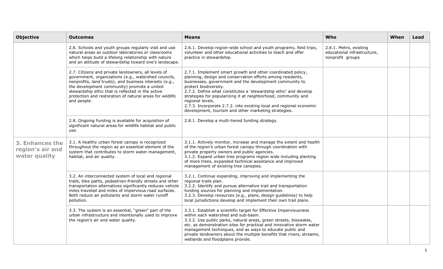| <b>Objective</b>                                     | <b>Outcomes</b>                                                                                                                                                                                                                                                                                                                                       | <b>Means</b>                                                                                                                                                                                                                                                                                                                                                                                                                                                                                          | Who                                                                       | When | Lead |
|------------------------------------------------------|-------------------------------------------------------------------------------------------------------------------------------------------------------------------------------------------------------------------------------------------------------------------------------------------------------------------------------------------------------|-------------------------------------------------------------------------------------------------------------------------------------------------------------------------------------------------------------------------------------------------------------------------------------------------------------------------------------------------------------------------------------------------------------------------------------------------------------------------------------------------------|---------------------------------------------------------------------------|------|------|
|                                                      | 2.6. Schools and youth groups regularly visit and use<br>natural areas as outdoor laboratories or classrooms<br>which helps build a lifelong relationship with nature<br>and an attitude of stewardship toward one's landscape.                                                                                                                       | 2.6.1. Develop region-wide school and youth programs, field trips,<br>volunteer and other educational activities to teach and offer<br>practice in stewardship.                                                                                                                                                                                                                                                                                                                                       | 2.6.1. Metro, existing<br>educational infrastructure,<br>nonprofit groups |      |      |
|                                                      | 2.7. Citizens and private landowners, all levels of<br>government, organizations (e.g., watershed councils,<br>nonprofits, land trusts), and business interests (e.g.,<br>the development community) promote a united<br>stewardship ethic that is reflected in the active<br>protection and restoration of natural areas for wildlife<br>and people. | 2.7.1. Implement smart growth and other coordinated policy,<br>planning, design and conservation efforts among residents,<br>businesses, government and the development community to<br>protect biodiversity.<br>2.7.2. Define what constitutes a 'stewardship ethic' and develop<br>strategies for popularizing it at neighborhood, community and<br>regional levels.<br>2.7.3. Incorporate 2.7.2. into existing local and regional economic<br>development, tourism and other marketing strategies. |                                                                           |      |      |
|                                                      | 2.8. Ongoing funding is available for acquisition of<br>significant natural areas for wildlife habitat and public<br>use.                                                                                                                                                                                                                             | 2.8.1. Develop a multi-tiered funding strategy.                                                                                                                                                                                                                                                                                                                                                                                                                                                       |                                                                           |      |      |
| 3. Enhances the<br>region's air and<br>water quality | 3.1. A healthy urban forest canopy is recognized<br>throughout the region as an essential element of the<br>system that contributes to storm water management,<br>habitat, and air quality.                                                                                                                                                           | 3.1.1. Actively monitor, increase and manage the extent and health<br>of the region's urban forest canopy through coordination with<br>private property owners and public agencies.<br>3.1.2. Expand urban tree programs region wide including planting<br>of more trees, expanded technical assistance and improved<br>management of existing tree canopies.                                                                                                                                         |                                                                           |      |      |
|                                                      | 3.2. An interconnected system of local and regional<br>trails, bike paths, pedestrian-friendly streets and other<br>transportation alternatives significantly reduces vehicle<br>miles traveled and miles of impervious road surfaces.<br>Both reduce air pollutants and storm water runoff<br>pollution.                                             | 3.2.1. Continue expanding, improving and implementing the<br>regional trails plan.<br>3.2.2. Identify and pursue alternative trail and transportation<br>funding sources for planning and implementation.<br>3.2.3. Develop resources (e.g., plans, design guidelines) to help<br>local jurisdictions develop and implement their own trail plans.                                                                                                                                                    |                                                                           |      |      |
|                                                      | 3.3. The system is an essential, "green" part of the<br>urban infrastructure and intentionally used to improve<br>the region's air and water quality.                                                                                                                                                                                                 | 3.3.1. Establish a scientific target for Effective Imperviousness<br>within each watershed and sub-basin.<br>3.3.2. Use public parks, natural areas, green streets, bioswales,<br>etc. as demonstration sites for practical and innovative storm water<br>management techniques, and as ways to educate public and<br>private landowners about the multiple benefits that rivers, streams,<br>wetlands and floodplains provide.                                                                       |                                                                           |      |      |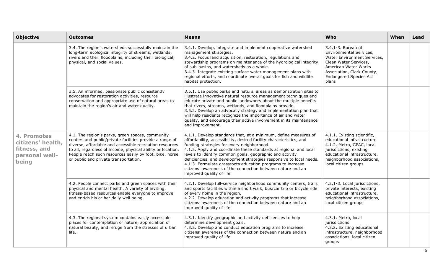| <b>Objective</b>                                                            | <b>Outcomes</b>                                                                                                                                                                                                                                                                                                                            | <b>Means</b>                                                                                                                                                                                                                                                                                                                                                                                                                                                                                                                                           | Who                                                                                                                                                                                                    | When | Lead |
|-----------------------------------------------------------------------------|--------------------------------------------------------------------------------------------------------------------------------------------------------------------------------------------------------------------------------------------------------------------------------------------------------------------------------------------|--------------------------------------------------------------------------------------------------------------------------------------------------------------------------------------------------------------------------------------------------------------------------------------------------------------------------------------------------------------------------------------------------------------------------------------------------------------------------------------------------------------------------------------------------------|--------------------------------------------------------------------------------------------------------------------------------------------------------------------------------------------------------|------|------|
|                                                                             | 3.4. The region's watersheds successfully maintain the<br>long-term ecological integrity of streams, wetlands,<br>rivers and their floodplains, including their biological,<br>physical, and social values.                                                                                                                                | 3.4.1. Develop, integrate and implement cooperative watershed<br>management strategies.<br>3.4.2. Focus land acquisition, restoration, regulations and<br>stewardship programs on maintenance of the hydrological integrity<br>of sub-basins, and watersheds as a whole.<br>3.4.3. Integrate existing surface water management plans with<br>regional efforts, and coordinate overall goals for fish and wildlife<br>habitat protection.                                                                                                               | 3.4.1-3. Bureau of<br>Environmental Services,<br>Water Environment Services,<br>Clean Water Services,<br>American Water Works<br>Association, Clark County,<br><b>Endangered Species Act</b><br>plans  |      |      |
|                                                                             | 3.5. An informed, passionate public consistently<br>advocates for restoration activities, resource<br>conservation and appropriate use of natural areas to<br>maintain the region's air and water quality.                                                                                                                                 | 3.5.1. Use public parks and natural areas as demonstration sites to<br>illustrate innovative natural resource management techniques and<br>educate private and public landowners about the multiple benefits<br>that rivers, streams, wetlands, and floodplains provide.<br>3.5.2. Develop an advocacy strategy and implementation plan that<br>will help residents recognize the importance of air and water<br>quality, and encourage their active involvement in its maintenance<br>and improvement.                                                |                                                                                                                                                                                                        |      |      |
| 4. Promotes<br>citizens' health,<br>fitness, and<br>personal well-<br>being | 4.1. The region's parks, green spaces, community<br>centers and public/private facilities provide a range of<br>diverse, affordable and accessible recreation resources<br>to all, regardless of income, physical ability or location.<br>People reach such resources easily by foot, bike, horse<br>or public and private transportation. | 4.1.1. Develop standards that, at a minimum, define measures of<br>affordability, accessibility, desired facility characteristics, and<br>funding strategies for every neighborhood.<br>4.1.2. Apply and coordinate these standards at regional and local<br>levels to identify common goals, geographic and activity<br>deficiencies, and development strategies responsive to local needs.<br>4.1.3. Formulate grassroots education programs to increase<br>citizens' awareness of the connection between nature and an<br>improved quality of life. | 4.1.1. Existing scientific,<br>educational infrastructure<br>4.1.2. Metro, GPAC, local<br>jurisdictions, existing<br>educational infrastructure,<br>neighborhood associations,<br>local citizen groups |      |      |
|                                                                             | 4.2. People connect parks and green spaces with their<br>physical and mental health. A variety of inviting,<br>fitness-based resources enable everyone to improve<br>and enrich his or her daily well being.                                                                                                                               | 4.2.1. Develop full-service neighborhood community centers, trails<br>and sports facilities within a short walk, bus/car trip or bicycle ride<br>of every home in the region.<br>4.2.2. Develop education and activity programs that increase<br>citizens' awareness of the connection between nature and an<br>improved quality of life.                                                                                                                                                                                                              | 4.2.1-3. Local jurisdictions,<br>private interests, existing<br>educational infrastructure,<br>neighborhood associations,<br>local citizen groups                                                      |      |      |
|                                                                             | 4.3. The regional system contains easily accessible<br>places for contemplation of nature, appreciation of<br>natural beauty, and refuge from the stresses of urban<br>life.                                                                                                                                                               | 4.3.1. Identify geographic and activity deficiencies to help<br>determine development goals.<br>4.3.2. Develop and conduct education programs to increase<br>citizens' awareness of the connection between nature and an<br>improved quality of life.                                                                                                                                                                                                                                                                                                  | 4.3.1. Metro, local<br>jurisdictions<br>4.3.2. Existing educational<br>infrastructure, neighborhood<br>associations, local citizen<br>groups                                                           |      |      |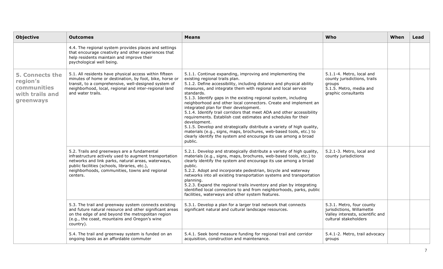| <b>Objective</b>                                                                  | <b>Outcomes</b>                                                                                                                                                                                                                                                            | <b>Means</b>                                                                                                                                                                                                                                                                                                                                                                                                                                                                                                                                                                                                                                                                                                                                                                                                                | Who                                                                                                                   | When | Lead |
|-----------------------------------------------------------------------------------|----------------------------------------------------------------------------------------------------------------------------------------------------------------------------------------------------------------------------------------------------------------------------|-----------------------------------------------------------------------------------------------------------------------------------------------------------------------------------------------------------------------------------------------------------------------------------------------------------------------------------------------------------------------------------------------------------------------------------------------------------------------------------------------------------------------------------------------------------------------------------------------------------------------------------------------------------------------------------------------------------------------------------------------------------------------------------------------------------------------------|-----------------------------------------------------------------------------------------------------------------------|------|------|
|                                                                                   | 4.4. The regional system provides places and settings<br>that encourage creativity and other experiences that<br>help residents maintain and improve their<br>psychological well being.                                                                                    |                                                                                                                                                                                                                                                                                                                                                                                                                                                                                                                                                                                                                                                                                                                                                                                                                             |                                                                                                                       |      |      |
| <b>5. Connects the</b><br>region's<br>communities<br>with trails and<br>greenways | 5.1. All residents have physical access within fifteen<br>minutes of home or destination, by foot, bike, horse or<br>transit, to a comprehensive, well-designed system of<br>neighborhood, local, regional and inter-regional land<br>and water trails.                    | 5.1.1. Continue expanding, improving and implementing the<br>existing regional trails plan.<br>5.1.2. Define accessibility, including distance and physical ability<br>measures, and integrate them with regional and local service<br>standards.<br>5.1.3. Identify gaps in the existing regional system, including<br>neighborhood and other local connectors. Create and implement an<br>integrated plan for their development.<br>5.1.4. Identify trail corridors that meet ADA and other accessibility<br>requirements. Establish cost estimates and schedules for their<br>development.<br>5.1.5. Develop and strategically distribute a variety of high quality,<br>materials (e.g., signs, maps, brochures, web-based tools, etc.) to<br>clearly identify the system and encourage its use among a broad<br>public. | 5.1.1-4. Metro, local and<br>county jurisdictions, trails<br>groups<br>5.1.5. Metro, media and<br>graphic consultants |      |      |
|                                                                                   | 5.2. Trails and greenways are a fundamental<br>infrastructure actively used to augment transportation<br>networks and link parks, natural areas, waterways,<br>public facilities (schools, libraries, etc.),<br>neighborhoods, communities, towns and regional<br>centers. | 5.2.1. Develop and strategically distribute a variety of high quality,<br>materials (e.g., signs, maps, brochures, web-based tools, etc.) to<br>clearly identify the system and encourage its use among a broad<br>public.<br>5.2.2. Adopt and incorporate pedestrian, bicycle and waterway<br>networks into all existing transportation systems and transportation<br>planning.<br>5.2.3. Expand the regional trails inventory and plan by integrating<br>identified local connectors to and from neighborhoods, parks, public<br>facilities, waterways and other system features.                                                                                                                                                                                                                                         | 5.2.1-3. Metro, local and<br>county jurisdictions                                                                     |      |      |
|                                                                                   | 5.3. The trail and greenway system connects existing<br>and future natural resource and other significant areas<br>on the edge of and beyond the metropolitan region<br>(e.g., the coast, mountains and Oregon's wine<br>country).                                         | 5.3.1. Develop a plan for a larger trail network that connects<br>significant natural and cultural landscape resources.                                                                                                                                                                                                                                                                                                                                                                                                                                                                                                                                                                                                                                                                                                     | 5.3.1. Metro, four county<br>jurisdictions, Willamette<br>Valley interests, scientific and<br>cultural stakeholders   |      |      |
|                                                                                   | 5.4. The trail and greenway system is funded on an<br>ongoing basis as an affordable commuter                                                                                                                                                                              | 5.4.1. Seek bond measure funding for regional trail and corridor<br>acquisition, construction and maintenance.                                                                                                                                                                                                                                                                                                                                                                                                                                                                                                                                                                                                                                                                                                              | 5.4.1-2. Metro, trail advocacy<br>groups                                                                              |      |      |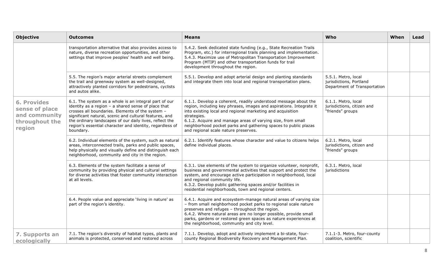| <b>Objective</b>                                                                  | <b>Outcomes</b>                                                                                                                                                                                                                                                                                                                                                  | <b>Means</b>                                                                                                                                                                                                                                                                                                                                                                                  | Who                                                                            | When | Lead |
|-----------------------------------------------------------------------------------|------------------------------------------------------------------------------------------------------------------------------------------------------------------------------------------------------------------------------------------------------------------------------------------------------------------------------------------------------------------|-----------------------------------------------------------------------------------------------------------------------------------------------------------------------------------------------------------------------------------------------------------------------------------------------------------------------------------------------------------------------------------------------|--------------------------------------------------------------------------------|------|------|
|                                                                                   | transportation alternative that also provides access to<br>nature, diverse recreation opportunities, and other<br>settings that improve peoples' health and well being.                                                                                                                                                                                          | 5.4.2. Seek dedicated state funding (e.g., State Recreation Trails<br>Program, etc.) for interregional trails planning and implementation.<br>5.4.3. Maximize use of Metropolitan Transportation Improvement<br>Program (MTIP) and other transportation funds for trail<br>development throughout the region.                                                                                 |                                                                                |      |      |
|                                                                                   | 5.5. The region's major arterial streets complement<br>the trail and greenway system as well-designed,<br>attractively planted corridors for pedestrians, cyclists<br>and autos alike.                                                                                                                                                                           | 5.5.1. Develop and adopt arterial design and planting standards<br>and integrate them into local and regional transportation plans.                                                                                                                                                                                                                                                           | 5.5.1. Metro, local<br>jurisdictions, Portland<br>Department of Transportation |      |      |
| <b>6. Provides</b><br>sense of place<br>and community<br>throughout the<br>region | 6.1. The system as a whole is an integral part of our<br>identity as a region $-$ a shared sense of place that<br>crosses all boundaries. Elements of the system -<br>significant natural, scenic and cultural features, and<br>the ordinary landscapes of our daily lives, reflect the<br>region's essential character and identity, regardless of<br>boundary. | 6.1.1. Develop a coherent, readily understood message about the<br>region, including key phrases, images and aspirations. Integrate it<br>into existing local and regional marketing and acquisition<br>strategies.<br>6.1.2. Acquire and manage areas of varying size, from small<br>neighborhood pocket parks and gathering spaces to public plazas<br>and regional scale nature preserves. | 6.1.1. Metro, local<br>jurisdictions, citizen and<br>"friends" groups          |      |      |
|                                                                                   | 6.2. Individual elements of the system, such as natural<br>areas, interconnected trails, parks and public spaces,<br>help physically and visually define and distinguish each<br>neighborhood, community and city in the region.                                                                                                                                 | 6.2.1. Identify features whose character and value to citizens helps<br>define individual places.                                                                                                                                                                                                                                                                                             | 6.2.1. Metro, local<br>jurisdictions, citizen and<br>"friends" groups          |      |      |
|                                                                                   | 6.3. Elements of the system facilitate a sense of<br>community by providing physical and cultural settings<br>for diverse activities that foster community interaction<br>at all levels.                                                                                                                                                                         | 6.3.1. Use elements of the system to organize volunteer, nonprofit,<br>business and governmental activities that support and protect the<br>system, and encourage active participation in neighborhood, local<br>and regional community life.<br>6.3.2. Develop public gathering spaces and/or facilities in<br>residential neighborhoods, town and regional centers.                         | 6.3.1. Metro, local<br>jurisdictions                                           |      |      |
|                                                                                   | 6.4. People value and appreciate 'living in nature' as<br>part of the region's identity.                                                                                                                                                                                                                                                                         | 6.4.1. Acquire and ecosystem-manage natural areas of varying size<br>- from small neighborhood pocket parks to regional scale nature<br>preserves and refuges - throughout the region.<br>6.4.2. Where natural areas are no longer possible, provide small<br>parks, gardens or restored green spaces as nature experiences at<br>the neighborhood, community and city level.                 |                                                                                |      |      |
| 7. Supports an<br>ecologically                                                    | 7.1. The region's diversity of habitat types, plants and<br>animals is protected, conserved and restored across                                                                                                                                                                                                                                                  | 7.1.1. Develop, adopt and actively implement a bi-state, four-<br>county Regional Biodiversity Recovery and Management Plan.                                                                                                                                                                                                                                                                  | 7.1.1-3. Metro, four-county<br>coalition, scientific                           |      |      |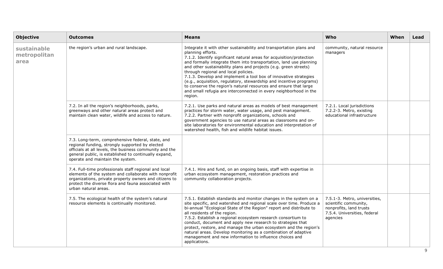| <b>Objective</b>                    | <b>Outcomes</b>                                                                                                                                                                                                                                              | <b>Means</b>                                                                                                                                                                                                                                                                                                                                                                                                                                                                                                                                                                                                                                      | Who                                                                                                                           | When | Lead |
|-------------------------------------|--------------------------------------------------------------------------------------------------------------------------------------------------------------------------------------------------------------------------------------------------------------|---------------------------------------------------------------------------------------------------------------------------------------------------------------------------------------------------------------------------------------------------------------------------------------------------------------------------------------------------------------------------------------------------------------------------------------------------------------------------------------------------------------------------------------------------------------------------------------------------------------------------------------------------|-------------------------------------------------------------------------------------------------------------------------------|------|------|
| sustainable<br>metropolitan<br>area | the region's urban and rural landscape.                                                                                                                                                                                                                      | Integrate it with other sustainability and transportation plans and<br>planning efforts.<br>7.1.2. Identify significant natural areas for acquisition/protection<br>and formally integrate them into transportation, land use planning<br>and other sustainability plans and projects (e.g. green streets)<br>through regional and local policies.<br>7.1.3. Develop and implement a tool box of innovative strategies<br>(e.g., acquisition, regulatory, stewardship and incentive programs)<br>to conserve the region's natural resources and ensure that large<br>and small refugia are interconnected in every neighborhood in the<br>region. | community, natural resource<br>managers                                                                                       |      |      |
|                                     | 7.2. In all the region's neighborhoods, parks,<br>greenways and other natural areas protect and<br>maintain clean water, wildlife and access to nature.                                                                                                      | 7.2.1. Use parks and natural areas as models of best management<br>practices for storm water, water usage, and pest management.<br>7.2.2. Partner with nonprofit organizations, schools and<br>government agencies to use natural areas as classrooms and on-<br>site laboratories for environmental education and interpretation of<br>watershed health, fish and wildlife habitat issues.                                                                                                                                                                                                                                                       | 7.2.1. Local jurisdictions<br>7.2.2-3. Metro, existing<br>educational infrastructure                                          |      |      |
|                                     | 7.3. Long-term, comprehensive federal, state, and<br>regional funding, strongly supported by elected<br>officials at all levels, the business community and the<br>general public, is established to continually expand,<br>operate and maintain the system. |                                                                                                                                                                                                                                                                                                                                                                                                                                                                                                                                                                                                                                                   |                                                                                                                               |      |      |
|                                     | 7.4. Full-time professionals staff regional and local<br>elements of the system and collaborate with nonprofit<br>organizations, private property owners and citizens to<br>protect the diverse flora and fauna associated with<br>urban natural areas.      | 7.4.1. Hire and fund, on an ongoing basis, staff with expertise in<br>urban ecosystem management, restoration practices and<br>community collaboration projects.                                                                                                                                                                                                                                                                                                                                                                                                                                                                                  |                                                                                                                               |      |      |
|                                     | 7.5. The ecological health of the system's natural<br>resource elements is continually monitored.                                                                                                                                                            | 7.5.1. Establish standards and monitor changes in the system on a<br>site specific, and watershed and regional scale over time. Produce a<br>bi-annual "Ecological State of the Region" report and distribute to<br>all residents of the region.<br>7.5.2. Establish a regional ecosystem research consortium to<br>conduct, document and apply new research to strategies that<br>protect, restore, and manage the urban ecosystem and the region's<br>natural areas. Develop monitoring as a combination of adaptive<br>management and new information to influence choices and<br>applications.                                                | 7.5.1-3. Metro, universities,<br>scientific community,<br>nonprofits, land trusts<br>7.5.4. Universities, federal<br>agencies |      |      |